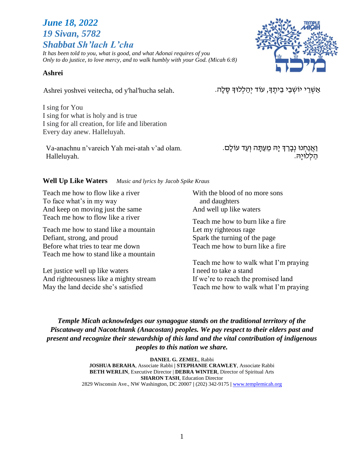# *June 18, 2022 19 Sivan, 5782 Shabbat Sh'lach L'cha*

*It has been told to you, what is good, and what Adonai requires of you Only to do justice, to love mercy, and to walk humbly with your God. (Micah 6:8)*

#### **Ashrei**

אַשְׁרֵי יוֹשְׁבֵי בֵיתֶךָ, עוֹד יְהַלְלוּךָ סֶלָה. .selah. אַשְׁרֵי יוֹשְׁבֵי בֵיתֶךָ, עוֹד יְהַלְלוּךָ סֶלָה

I sing for You I sing for what is holy and is true I sing for all creation, for life and liberation Every day anew. Halleluyah.

Va-anachnu n'vareich Yah mei-atah v'ad olam. Halleluyah.

וַאֲנַחְנוּ נִבָּרֵךְ יַה מֵעַתַּה וְעַד עֹוֹלַם. הַ לְׁלּויָּה.

#### **Well Up Like Waters** *Music and lyrics by Jacob Spike Kraus*

Teach me how to flow like a river To face what's in my way And keep on moving just the same Teach me how to flow like a river

Teach me how to stand like a mountain Defiant, strong, and proud Before what tries to tear me down Teach me how to stand like a mountain

Let justice well up like waters And righteousness like a mighty stream May the land decide she's satisfied

With the blood of no more sons and daughters And well up like waters

Teach me how to burn like a fire Let my righteous rage Spark the turning of the page Teach me how to burn like a fire

Teach me how to walk what I'm praying I need to take a stand If we're to reach the promised land Teach me how to walk what I'm praying

*Temple Micah acknowledges our synagogue stands on the traditional territory of the Piscataway and Nacotchtank (Anacostan) peoples. We pay respect to their elders past and present and recognize their stewardship of this land and the vital contribution of indigenous peoples to this nation we share.*

> **DANIEL G. ZEMEL**, Rabbi **JOSHUA BERAHA**, Associate Rabbi **| STEPHANIE CRAWLEY**, Associate Rabbi **BETH WERLIN**, Executive Director | **DEBRA WINTER**, Director of Spiritual Arts **SHARON TASH**, Education Director 2829 Wisconsin Ave., NW Washington, DC 20007 **|** (202) 342-9175 **|** [www.templemicah.org](http://www.templemicah.org/)

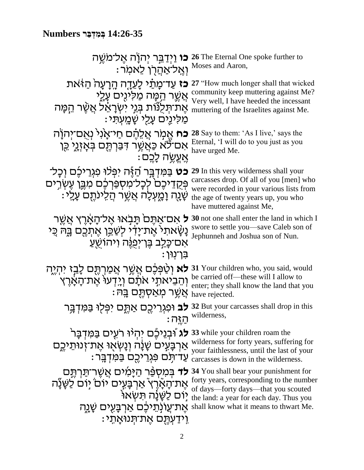# **14:26-35 בְּ מִ דְּ בַּ ר Numbers**

| ואַל־אַהַרֶן לֵאמר: Moses and Aaron,                                                                                                                                                              | 26 The Eternal One spoke further to כו וַיִּדַבֵּר יִהוָׂה אֵל־מֹשֵׁה                                                                                                                                         |
|---------------------------------------------------------------------------------------------------------------------------------------------------------------------------------------------------|---------------------------------------------------------------------------------------------------------------------------------------------------------------------------------------------------------------|
| <b>כז</b> עַד־מַרַנׁי לַעֲדָה הָרָעָה הַיֹּאת<br><u>אַשֵׁר הֵמָּה מַלִּינִים עָלָי</u><br>אֵת־תִּלְנוֹת בְּנֵי יִשְׂרָאֵל אֲשֶׁר הַמַּה<br>מַלִינֵים עַ <u>ל</u> ִי שָׁמֲעָתָ <i>י</i> :          | 27 "How much longer shall that wicked<br>community keep muttering against Me?<br>Very well, I have heeded the incessant<br>muttering of the Israelites against Me.                                            |
| <b>כח</b> אֵמִר אֲלֵהֵׁם חַיֹּאֲנִי וְאֻם־יְהִוָּה<br>אָם־לֹא כַּאֲשֶׁר דִּבַּרְתֶֶּם בְּאָזְגֶי כֵּן<br>ּאֲעֱשֶׂה לָבֵם:                                                                         | <b>28</b> Say to them: 'As I live,' says the<br>Eternal, 'I will do to you just as you<br>have urged Me.                                                                                                      |
| <b>כט</b> בַּמִּדְבָּר הַזֶּה יִפְּלוּ פִגְרֵיכֵּם וְכָל־<br>פְּקָדֵיכֶם לְכָל־מִסְפַּרְכֶם מִבֱן עֶשְׂרֵים<br>ּשַׁנַה וַמַעְלַה אֲשֶׁר הַלֵינתֵם עַלֵי:                                          | 29 In this very wilderness shall your<br>carcasses drop. Of all of you [men] who<br>were recorded in your various lists from<br>the age of twenty years up, you who<br>have muttered against Me,              |
| ל אָם־אַתֶּם תָּבְאוּ אֱל־הָאָרֵץ אֲשֵׁר<br>נַשָּׂאתל אֶת־יָדִי לְשַׁבֵּן אֶתְכֶם בֶּה כֵּי<br>אַם־כָּלֵב בֵּן־יִפְנֵּה וִיהוֹשָׁעַ<br>בן־נוּן :                                                  | <b>30</b> not one shall enter the land in which I<br>swore to settle you-save Caleb son of<br>Jephunneh and Joshua son of Nun.                                                                                |
| <b>לא</b> וְטַ <sup>ֹּ</sup> פְּבֶׁם אֲשֶׁר אֲמַרְתֶּם לָבַיָ יִהְיֶהְ<br>וְהֵבִיאתֵי אֹתָם וְיָדְעוּ אֶת־הָאָרֶץ<br>ּאֲשֵׁר מְאַסְתֵּם בַּה <del>ּ</del>                                         | 31 Your children who, you said, would<br>be carried off—these will I allow to<br>enter; they shall know the land that you<br>have rejected.                                                                   |
| 32 But your carcasses shall drop in this לב וּפְגְרֵיכֶם אַתֱם יִפְּלִוּ בַּמִּדְבָּר                                                                                                             | $: \overline{\mathbf{D}}$ wilderness,                                                                                                                                                                         |
| <b>לג</b> וּבְנֵיכֶּם יִהְיוּ רעֵים בַּמִּדְבָּר <sup>י</sup><br>אַרְבָּעְיִם שָׁנָה וְנָשְׂאָוּ אֶת־זְנוּתֵיכֶם<br>ּעֲדִיתִּם פְּגְרֵיכֵם בַּמִּדְבֵּר                                           | 33 while your children roam the<br>wilderness for forty years, suffering for<br>your faithlessness, until the last of your<br>carcasses is down in the wilderness.                                            |
| <b>לד</b> בִּמִסְפֵּר הַיָּמִים אֲשֶׁר־תַּרְתֶּם<br>אֶת־הָאָۨרֶץ אַרְבָּעִים יוֹם יִוֹם לַשַּׁנַٗה<br>יום לַשֲׂנַה תּשָׂאוֹ<br>אֵת־עֲוֹנְתֵיכֶם אַרְבַּעִים שָׁנֻה<br>וִידַעְתֵם אֵת־תִּנוּאַתֵי: | 34 You shall bear your punishment for<br>forty years, corresponding to the number<br>of days—forty days—that you scouted<br>the land: a year for each day. Thus you<br>shall know what it means to thwart Me. |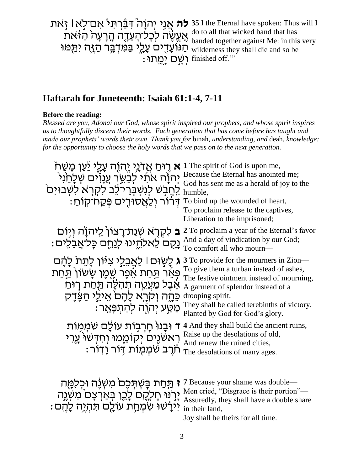**לה** אֲנִי יְהוָה ֹּדִּבְּ֫רְתִּי אִם־לְא! זָאת אֶעֱשֶׁה לְכָל־הָעֵדָה הָרָעָה הַ $\frac{dG}{dt}$ ת " ֶּהַ נֹוֹעָדָים עָלֶי בַּמִּדְבָּר הַזֶּה יִתַּמּוּ " : יְשָׁם יְמֵתוּ finished off.'" **35** I the Eternal have spoken: Thus will I do to all that wicked band that has banded together against Me: in this very wilderness they shall die and so be

# **Haftarah for Juneteenth: Isaiah 61:1-4, 7-11**

#### **Before the reading:**

*Blessed are you, Adonai our God, whose spirit inspired our prophets, and whose spirit inspires us to thoughtfully discern their words. Each generation that has come before has taught and made our prophets' words their own. Thank you for* binah*, understanding, and* deah*, knowledge: for the opportunity to choose the holy words that we pass on to the next generation.*

| <b>ֹא</b> רֶוּחַ אֲדֹנֵי יֱהוֶה עָלֵי יַֿעַן כְּשִׁח<br>יְהוָׂה אתו לִבַשֵּׂר עֲנָוִים שִׁלַחַנִי<br>ַלְחֲבָשׁ לְנִשְׁבְרֵי־לֶב לִקְרָא לְשָׁבוּיִם<br>ּדְרוֹר וְלַאֲסוּרֵים פְּקַח־קוֹחַ                        | 1 The spirit of God is upon me,<br>Because the Eternal has anointed me;<br>God has sent me as a herald of joy to the<br>humble.<br>To bind up the wounded of heart,<br>To proclaim release to the captives,<br>Liberation to the imprisoned;                               |
|------------------------------------------------------------------------------------------------------------------------------------------------------------------------------------------------------------------|----------------------------------------------------------------------------------------------------------------------------------------------------------------------------------------------------------------------------------------------------------------------------|
| <b>ב</b> לִקְרָא שְׁנַת־רָצוֹן לַיהוָה וִיֽוֹם<br>נֻקֻם לֵאלהֵינוּ לְנַחֵם כָּלֹאֲבִלִים:                                                                                                                        | 2 To proclaim a year of the Eternal's favor<br>And a day of vindication by our God;<br>To comfort all who mourn-                                                                                                                                                           |
| ג לַשְׂוּם   לַאֲבֶלֵי צְיוֹן לַתֵּת לַהֵם<br>פּאֵר תַּחַת אֵפֵר שֶׁמֶן שָׁשׂוֹן תַּחַת<br>אֵבֶל מַעֲטֵה תְהִלֶּה תַּחַת רְוּחַ<br>כֵּתֶה וְקִרֶא לָהֶם אֵילֵי הַצֵּדֵק<br><u>ּמַטַ</u> ע יְהְוֻׁה לְהִתִפָּאֵר: | 3 To provide for the mourners in Zion—<br>To give them a turban instead of ashes,<br>The festive ointment instead of mourning,<br>A garment of splendor instead of a<br>drooping spirit.<br>They shall be called terebinths of victory,<br>Planted by God for God's glory. |
| ד וּבָנוּ חָרְבְוֹת עוֹלָם שֹמְמְוֹת<br>ראשנים יקוממו וחדשו ערי<br>ּחֹרֵב שֹׁמְמְוֹת דְּוֹר וַדוֹר                                                                                                               | 4 And they shall build the ancient ruins,<br>Raise up the desolations of old,<br>And renew the ruined cities,<br>The desolations of many ages.                                                                                                                             |
| תַּחַת בַּשְׁתִּכֶם מִשְׂנֵה וּכְלְמֵה<br>יָרְנּוּ חֶלְקֶם לָכֵן בְּאַרְצָם מִשְׁגֶה                                                                                                                             | 7 Because your shame was double—<br>Men cried, "Disgrace is their portion"-<br>Assuredly, they shall have a double share                                                                                                                                                   |

: יִּירָשׁוּ שִּׁמְחַת עֹולָם תִּהְיֶה לָהֶם " in their land,

Joy shall be theirs for all time.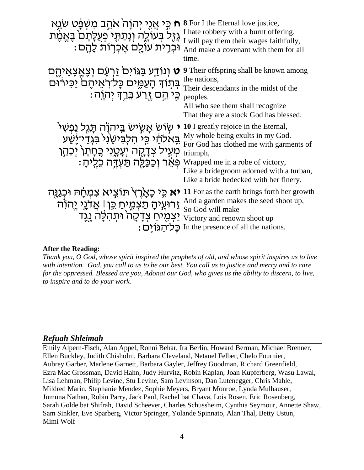| ּכִּי אֲנֵי יְהוָהֹ אֹהֵב מִשְׁפָּׁט שַׂנֵּא<br>גַזֶל בִּעוֹלֶה וְנָתַתְּי פְעִלָּתָם בָּאֲמֶת<br>וּבְרֵית עוֹלֵם אֱכְרְוֹת לַהֱם:                                        | <b>8</b> For I the Eternal love justice,<br>I hate robbery with a burnt offering.<br>I will pay them their wages faithfully,<br>And make a covenant with them for all<br>time.                                                                            |
|---------------------------------------------------------------------------------------------------------------------------------------------------------------------------|-----------------------------------------------------------------------------------------------------------------------------------------------------------------------------------------------------------------------------------------------------------|
| <b>ָט</b> וְנוֹדַע בַּגּוֹיִם <sup>י</sup> זַרְעָם וְצֶאֱצָאֵיהֶם<br>בְּתָוֹךְ הָעַמֶּים כָּלֹיִרְאֵיהֶם יַכִּירוּם<br>ּכֶּי הֵם <u>זֻר</u> ע בֵּרַךְ יִהְוָה :           | <b>9</b> Their offspring shall be known among<br>the nations,<br>Their descendants in the midst of the<br>peoples.<br>All who see them shall recognize<br>That they are a stock God has blessed.                                                          |
| ּשָׂוֹשׂ אָשְׂישׂ בֵּיהוָׂה תָּגֵל נַפְשִׁי<br>בֵאלהַׁי כֵּי הִלְבִּישַׂנִי בִּגְדֵי־יַּשַׁע<br>מְעְיל צְדָקָה יְעָטֶנִי כֶּחָתָן יְכַהֵן<br>ּ פּאֹר וככּלה תּעדּה כליה : | 10 I greatly rejoice in the Eternal,<br>My whole being exults in my God.<br>For God has clothed me with garments of<br>triumph,<br>Wrapped me in a robe of victory,<br>Like a bridegroom adorned with a turban,<br>Like a bride bedecked with her finery. |
| יא כֵּי כָאָרֶץ תּוֹצִיא צִמְחָהּ וּכְגַנָּה<br>זֵרוּעֶיהָ תַצְמֶיחַ כֵּן   אֲדנֵי יֵהוֹה<br>יַצְמֶיחַ צְדָקָה <sup>ָ</sup> וּתִהְלֵּה <u>נג</u> ֵד<br>: כַּל־הגוֹים      | 11 For as the earth brings forth her growth<br>And a garden makes the seed shoot up,<br>So God will make<br>Victory and renown shoot up<br>In the presence of all the nations.                                                                            |

#### **After the Reading:**

*Thank you, O God, whose spirit inspired the prophets of old, and whose spirit inspires us to live with intention. God, you call to us to be our best. You call us to justice and mercy and to care for the oppressed. Blessed are you, Adonai our God, who gives us the ability to discern, to live, to inspire and to do your work.* 

#### *Refuah Shleimah*

Emily Alpern-Fisch, Alan Appel, Ronni Behar, Ira Berlin, Howard Berman, Michael Brenner, Ellen Buckley, Judith Chisholm, Barbara Cleveland, Netanel Felber, Chelo Fournier, Aubrey Garber, Marlene Garnett, Barbara Gayler, Jeffrey Goodman, Richard Greenfield, Ezra Mac Grossman, David Hahn, Judy Hurvitz, Robin Kaplan, Joan Kupferberg, Wasu Lawal, Lisa Lehman, Philip Levine, Stu Levine, Sam Levinson, Dan Lutenegger, Chris Mahle, Mildred Marin, Stephanie Mendez, Sophie Meyers, Bryant Monroe, Lynda Mulhauser, Jumuna Nathan, Robin Parry, Jack Paul, Rachel bat Chava, Lois Rosen, Eric Rosenberg, Sarah Golde bat Shifrah, David Scheever, Charles Schussheim, Cynthia Seymour, Annette Shaw, Sam Sinkler, Eve Sparberg, Victor Springer, Yolande Spinnato, Alan Thal, Betty Ustun, Mimi Wolf